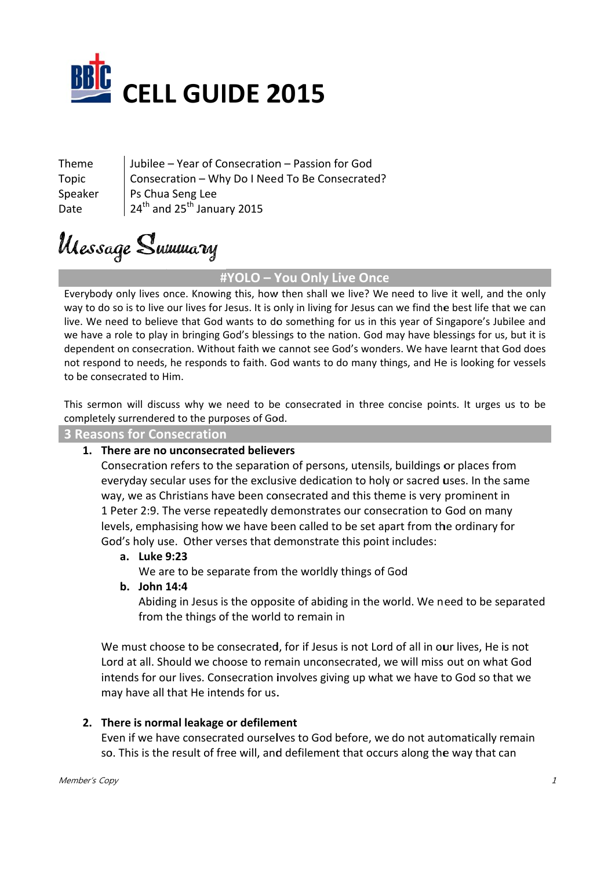

Theme Topic Speaker Date

Jubilee – Year of C onsecration n – Passion for God Consecration - Why Do I Need To Be Consecrated? Ps Chua a Seng Lee  $24^{\text{th}}$  and  $25^{\text{th}}$  January 2015

# Ulessage Summary

### **# #YOLO – Y You Only L Live Once e**

Everybody only lives once. Knowing this, how then shall we live? We need to live it well, and the only way to do so is to live our lives for Jesus. It is only in living for Jesus can we find the best life that we can live. We need to believe that God wants to do something for us in this year of Singapore's Jubilee and we have a role to play in bringing God's blessings to the nation. God may have blessings for us, but it is dependent on consecration. Without faith we cannot see God's wonders. We have learnt that God does not respond to needs, he responds to faith. God wants to do many things, and He is looking for vessels to be consecrated to Him.

This sermon will discuss why we need to be consecrated in three concise points. It urges us to be completely surrendered to the purposes of God.

**3** Reasons for Consecration

## **1. Th here are no unconsecr nated believ vers**

Consecration refers to the separation of persons, utensils, buildings or places from everyday secular uses for the exclusive dedication to holy or sacred uses. In the same way, we as Christians have been consecrated and this theme is very prominent in 1 Peter 2:9. The verse repeatedly demonstrates our consecration to God on many levels, emphasising how we have been called to be set apart from the ordinary for God's holy use. Other verses that demonstrate this point includes:

#### **a. Luke 9 9:23**

We are to be separate from the worldly things of God

#### **b. John 1 14:4**

Abiding in Jesus is the opposite of abiding in the world. We need to be separated from the things of the world to remain in

We must choose to be consecrated, for if Jesus is not Lord of all in our lives, He is not Lord at all. Should we choose to remain unconsecrated, we will miss out on what God intends for our lives. Consecration involves giving up what we have to God so that we may have all that He intends for us.

#### **2. Th here is norm mal leakage e or defilem ment**

Even if we have consecrated ourselves to God before, we do not automatically remain so. This is the result of free will, and defilement that occurs along the way that can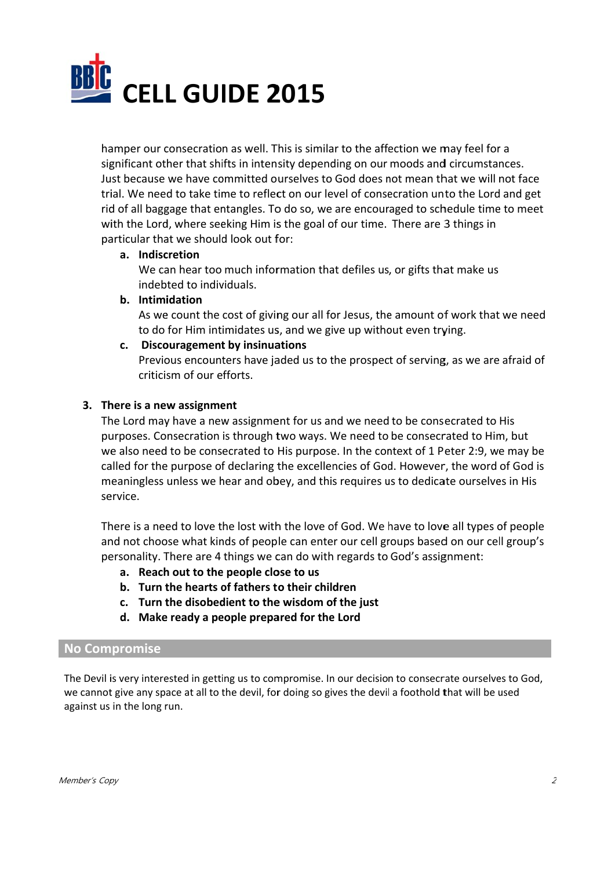

hamper our consecration as well. This is similar to the affection we may feel for a significant other that shifts in intensity depending on our moods and circumstances. Just because we have committed ourselves to God does not mean that we will not face trial. We need to take time to reflect on our level of consecration unto the Lord and get rid of all baggage that entangles. To do so, we are encouraged to schedule time to meet with the Lord, where seeking Him is the goal of our time. There are 3 things in particular that we should look out for:

#### **a. Indisc cretion**

We can hear too much information that defiles us, or gifts that make us indebted to individuals.

#### **b.** Intimidation

As we count the cost of giving our all for Jesus, the amount of work that we need to do for Him intimidates us, and we give up without even trying.

#### **c.** Discouragement by insinuations

Previous encounters have jaded us to the prospect of serving, as we are afraid of critici sm of our e efforts.

#### **3. Th here is a ne w assignme ent**

The Lord may have a new assignment for us and we need to be consecrated to His purposes. Consecration is through two ways. We need to be consecrated to Him, but we also need to be consecrated to His purpose. In the context of 1 Peter 2:9, we may be called for the purpose of declaring the excellencies of God. However, the word of God is meaningless unless we hear and obey, and this requires us to dedicate ourselves in His se ervice.

There is a need to love the lost with the love of God. We have to love all types of people and not choose what kinds of people can enter our cell groups based on our cell group's personality. There are 4 things we can do with regards to God's assignment:

- **a. Reach h out to the e people clo ose to us**
- **b. Turn t the hearts o of fathers t o their chil dren**
- **c. Turn t the disobed dient to the e wisdom o f the just**
- **d. Make e ready a pe eople prepa ared for the e Lord**

#### **No Com promise**

The Devil is very interested in getting us to compromise. In our decision to consecrate ourselves to God, we cannot give any space at all to the devil, for doing so gives the devil a foothold that will be used against us in the long run.